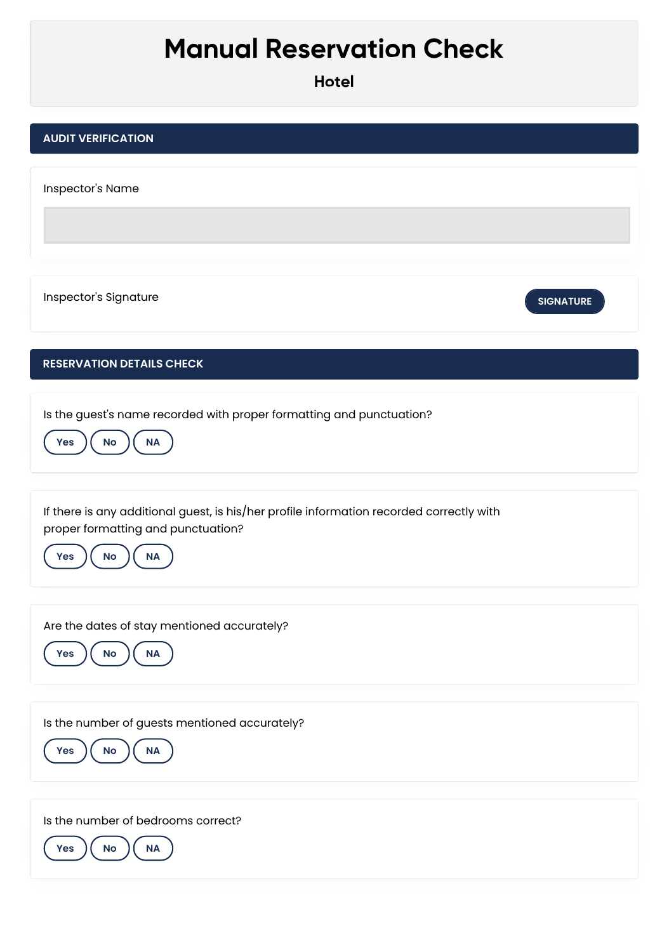## **Manual Reservation Check**

| <b>AUDIT VERIFICATION</b> |
|---------------------------|
|---------------------------|

Inspector's Name

**Inspector's Signature Executive SIGNATURE** 



## **RESERVATION DETAILS CHECK**

Is the guest's name recorded with proper formatting and punctuation?



If there is any additional guest, is his/her profile information recorded correctly with proper formatting and punctuation?



Are the dates of stay mentioned accurately?



Is the number of guests mentioned accurately?



Is the number of bedrooms correct?

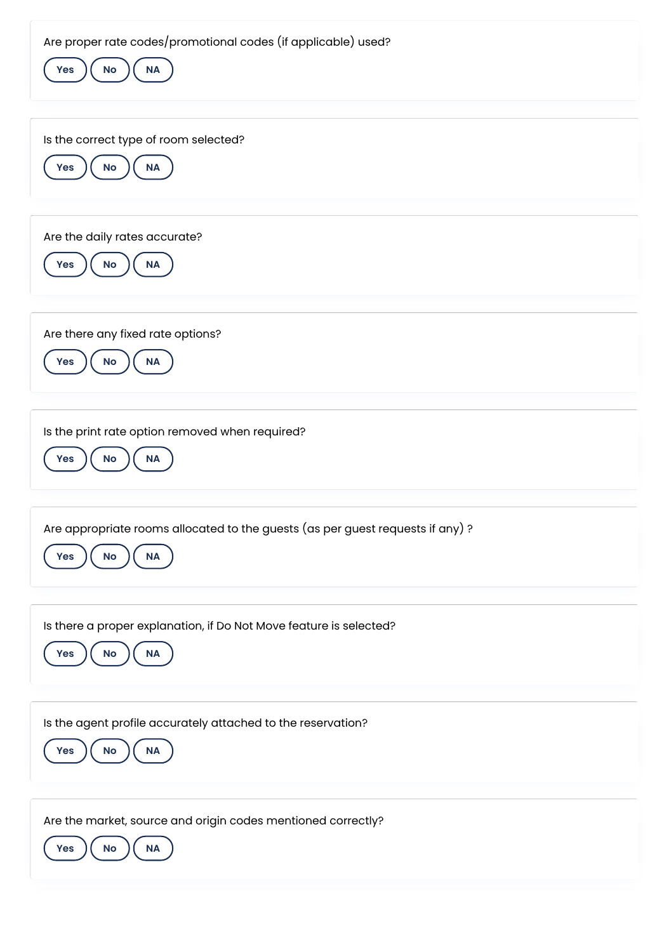Are proper rate codes/promotional codes (if applicable) used?